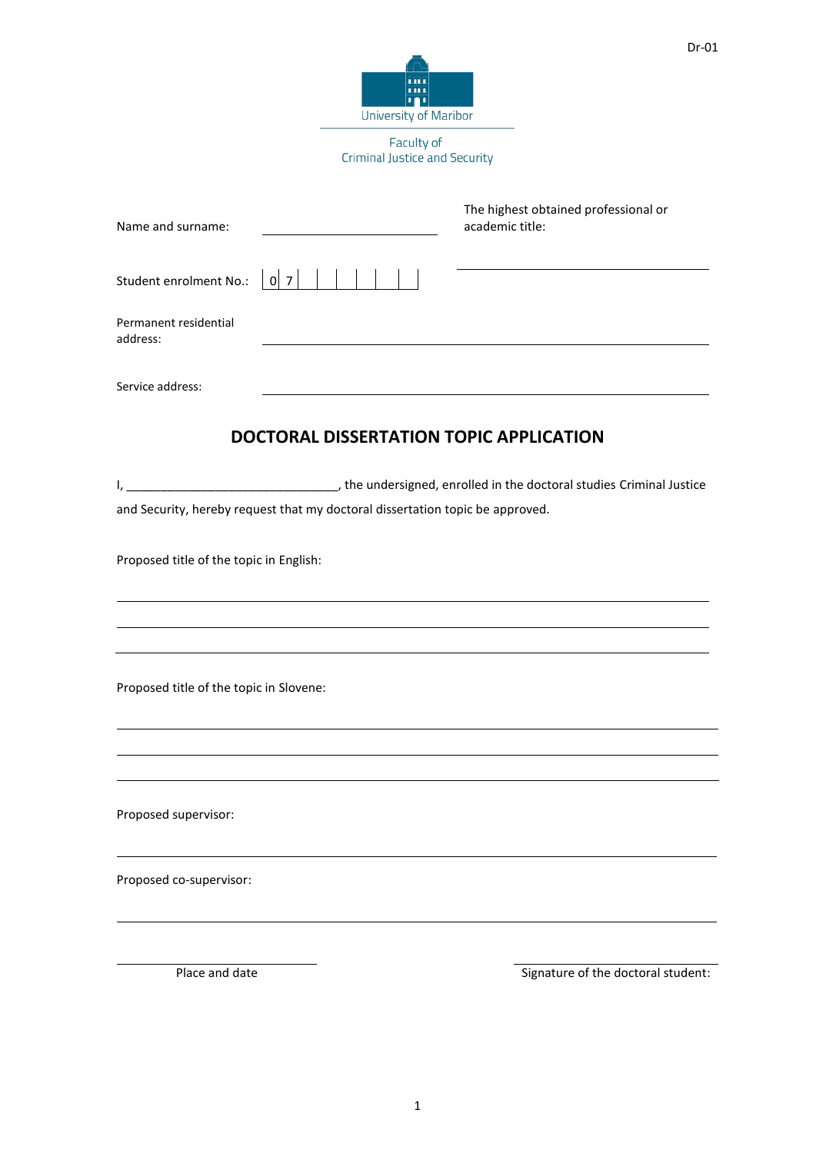Faculty of Criminal Justice and Security

ini<br>Ini<br>I<mark>T</mark>I **University of Maribor** 

| Name and surname:                       |                                                                               | The highest obtained professional or<br>academic title:                                                                                              |
|-----------------------------------------|-------------------------------------------------------------------------------|------------------------------------------------------------------------------------------------------------------------------------------------------|
| Student enrolment No.: $ 0 7 $          |                                                                               |                                                                                                                                                      |
| Permanent residential<br>address:       |                                                                               |                                                                                                                                                      |
| Service address:                        |                                                                               |                                                                                                                                                      |
|                                         | <b>DOCTORAL DISSERTATION TOPIC APPLICATION</b>                                |                                                                                                                                                      |
| I,                                      |                                                                               | the undersigned, enrolled in the doctoral studies Criminal Justice (2014) (1997). The undersigned, enrolled in the doctoral studies Criminal Justice |
|                                         | and Security, hereby request that my doctoral dissertation topic be approved. |                                                                                                                                                      |
| Proposed title of the topic in English: |                                                                               |                                                                                                                                                      |
|                                         |                                                                               |                                                                                                                                                      |
| Proposed title of the topic in Slovene: |                                                                               |                                                                                                                                                      |
|                                         |                                                                               |                                                                                                                                                      |
| Proposed supervisor:                    |                                                                               |                                                                                                                                                      |
| Proposed co-supervisor:                 |                                                                               |                                                                                                                                                      |
|                                         |                                                                               |                                                                                                                                                      |
| Place and date                          |                                                                               | Signature of the doctoral student:                                                                                                                   |